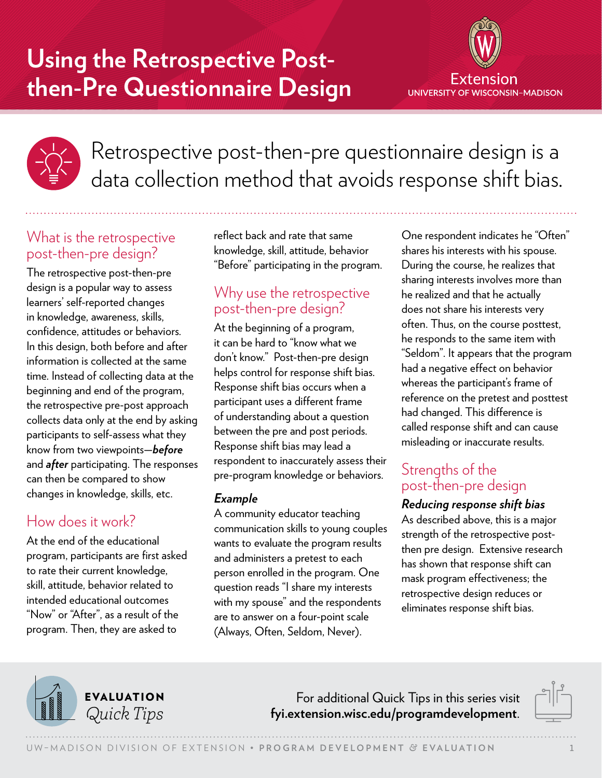# **Using the Retrospective Postthen-Pre Questionnaire Design**





Retrospective post-then-pre questionnaire design is a data collection method that avoids response shift bias.

## What is the retrospective post-then-pre design?

The retrospective post-then-pre design is a popular way to assess learners' self-reported changes in knowledge, awareness, skills, confidence, attitudes or behaviors. In this design, both before and after information is collected at the same time. Instead of collecting data at the beginning and end of the program, the retrospective pre-post approach collects data only at the end by asking participants to self-assess what they know from two viewpoints—*before* and *after* participating. The responses can then be compared to show changes in knowledge, skills, etc.

# How does it work?

At the end of the educational program, participants are first asked to rate their current knowledge, skill, attitude, behavior related to intended educational outcomes "Now" or "After", as a result of the program. Then, they are asked to

reflect back and rate that same knowledge, skill, attitude, behavior "Before" participating in the program.

# Why use the retrospective post-then-pre design?

At the beginning of a program, it can be hard to "know what we don't know." Post-then-pre design helps control for response shift bias. Response shift bias occurs when a participant uses a different frame of understanding about a question between the pre and post periods. Response shift bias may lead a respondent to inaccurately assess their pre-program knowledge or behaviors.

## *Example*

A community educator teaching communication skills to young couples wants to evaluate the program results and administers a pretest to each person enrolled in the program. One question reads "I share my interests with my spouse" and the respondents are to answer on a four-point scale (Always, Often, Seldom, Never).

One respondent indicates he "Often" shares his interests with his spouse. During the course, he realizes that sharing interests involves more than he realized and that he actually does not share his interests very often. Thus, on the course posttest, he responds to the same item with "Seldom". It appears that the program had a negative effect on behavior whereas the participant's frame of reference on the pretest and posttest had changed. This difference is called response shift and can cause misleading or inaccurate results.

# Strengths of the post-then-pre design

#### *Reducing response shift bias*

As described above, this is a major strength of the retrospective postthen pre design. Extensive research has shown that response shift can mask program effectiveness; the retrospective design reduces or eliminates response shift bias.



For additional Quick Tips in this series visit *Quick Tips* **[fyi.extension.wisc.edu/programdevelopment](https://fyi.extension.wisc.edu/programdevelopment)**.